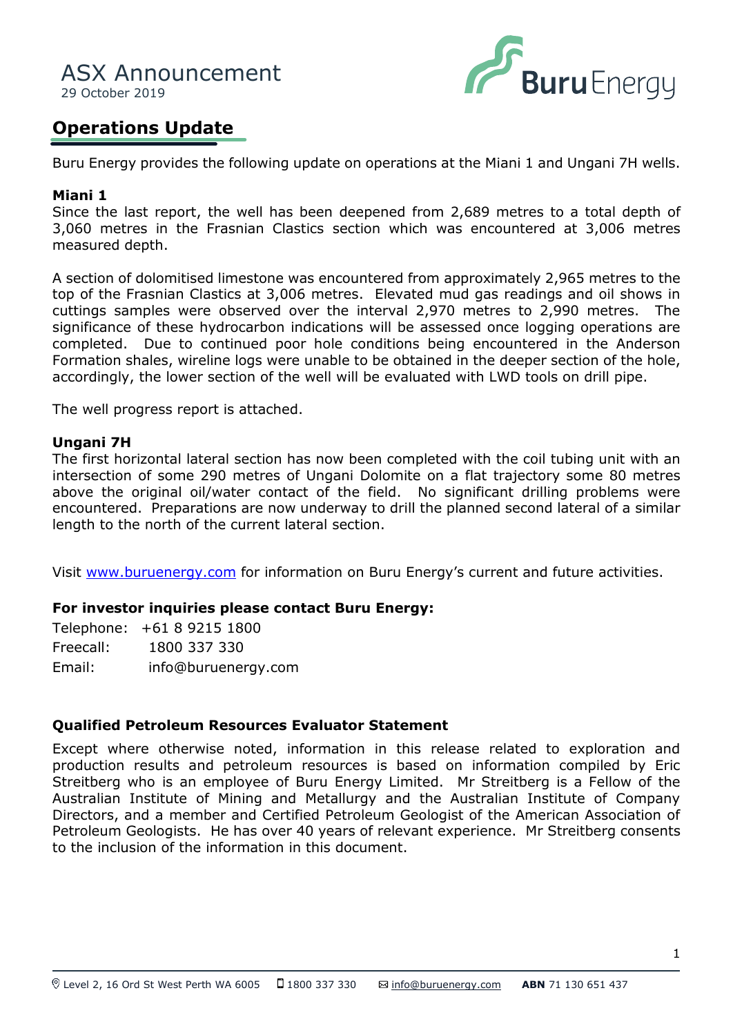

## **Operations Update**

Buru Energy provides the following update on operations at the Miani 1 and Ungani 7H wells.

### **Miani 1**

Since the last report, the well has been deepened from 2,689 metres to a total depth of 3,060 metres in the Frasnian Clastics section which was encountered at 3,006 metres measured depth.

cuttings samples were observed over the interval 2,970 metres to 2,990 metres. The top of the Frasnian Clastics at 3,006 metres. Elevated mud gas readings and oil shows in A section of dolomitised limestone was encountered from approximately 2,965 metres to the significance of these hydrocarbon indications will be assessed once logging operations are completed. Due to continued poor hole conditions being encountered in the Anderson Formation shales, wireline logs were unable to be obtained in the deeper section of the hole, accordingly, the lower section of the well will be evaluated with LWD tools on drill pipe.

The well progress report is attached.

#### **Ungani 7H**

The first horizontal lateral section has now been completed with the coil tubing unit with an intersection of some 290 metres of Ungani Dolomite on a flat trajectory some 80 metres above the original oil/water contact of the field. No significant drilling problems were encountered. Preparations are now underway to drill the planned second lateral of a similar length to the north of the current lateral section.

Visit [www.buruenergy.com](http://www.buruenergy.com/) for information on Buru Energy's current and future activities.

#### **For investor inquiries please contact Buru Energy:**

Telephone: +61 8 9215 1800 Freecall: 1800 337 330 Email: [info@buruenergy.com](mailto:info@buruenergy.com)

#### **Qualified Petroleum Resources Evaluator Statement**

Except where otherwise noted, information in this release related to exploration and production results and petroleum resources is based on information compiled by Eric Streitberg who is an employee of Buru Energy Limited. Mr Streitberg is a Fellow of the Australian Institute of Mining and Metallurgy and the Australian Institute of Company Directors, and a member and Certified Petroleum Geologist of the American Association of Petroleum Geologists. He has over 40 years of relevant experience. Mr Streitberg consents to the inclusion of the information in this document.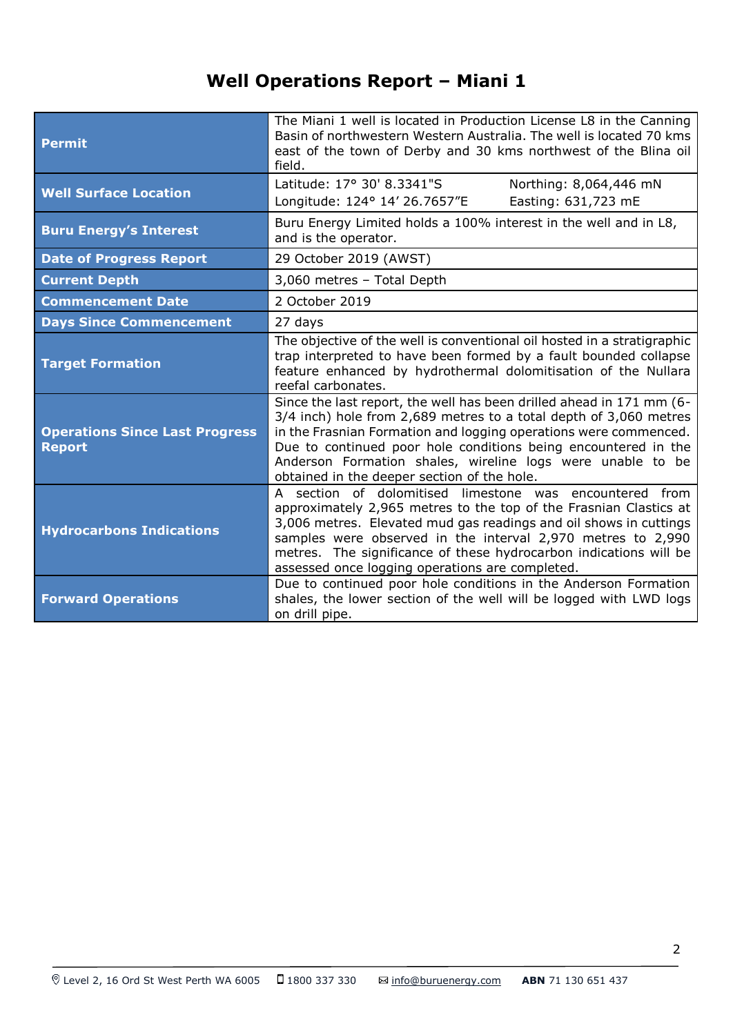# **Well Operations Report – Miani 1**

| <b>Permit</b>                                          | The Miani 1 well is located in Production License L8 in the Canning<br>Basin of northwestern Western Australia. The well is located 70 kms<br>east of the town of Derby and 30 kms northwest of the Blina oil<br>field.                                                                                                                                                                      |
|--------------------------------------------------------|----------------------------------------------------------------------------------------------------------------------------------------------------------------------------------------------------------------------------------------------------------------------------------------------------------------------------------------------------------------------------------------------|
| <b>Well Surface Location</b>                           | Latitude: 17° 30' 8.3341"S<br>Northing: 8,064,446 mN<br>Easting: 631,723 mE<br>Longitude: 124° 14' 26.7657"E                                                                                                                                                                                                                                                                                 |
| <b>Buru Energy's Interest</b>                          | Buru Energy Limited holds a 100% interest in the well and in L8,<br>and is the operator.                                                                                                                                                                                                                                                                                                     |
| <b>Date of Progress Report</b>                         | 29 October 2019 (AWST)                                                                                                                                                                                                                                                                                                                                                                       |
| <b>Current Depth</b>                                   | 3,060 metres - Total Depth                                                                                                                                                                                                                                                                                                                                                                   |
| <b>Commencement Date</b>                               | 2 October 2019                                                                                                                                                                                                                                                                                                                                                                               |
| <b>Days Since Commencement</b>                         | 27 days                                                                                                                                                                                                                                                                                                                                                                                      |
| <b>Target Formation</b>                                | The objective of the well is conventional oil hosted in a stratigraphic<br>trap interpreted to have been formed by a fault bounded collapse<br>feature enhanced by hydrothermal dolomitisation of the Nullara<br>reefal carbonates.                                                                                                                                                          |
| <b>Operations Since Last Progress</b><br><b>Report</b> | Since the last report, the well has been drilled ahead in 171 mm (6-<br>3/4 inch) hole from 2,689 metres to a total depth of 3,060 metres<br>in the Frasnian Formation and logging operations were commenced.<br>Due to continued poor hole conditions being encountered in the<br>Anderson Formation shales, wireline logs were unable to be<br>obtained in the deeper section of the hole. |
| <b>Hydrocarbons Indications</b>                        | section of dolomitised limestone was encountered from<br>A<br>approximately 2,965 metres to the top of the Frasnian Clastics at<br>3,006 metres. Elevated mud gas readings and oil shows in cuttings<br>samples were observed in the interval 2,970 metres to 2,990<br>metres. The significance of these hydrocarbon indications will be<br>assessed once logging operations are completed.  |
| <b>Forward Operations</b>                              | Due to continued poor hole conditions in the Anderson Formation<br>shales, the lower section of the well will be logged with LWD logs<br>on drill pipe.                                                                                                                                                                                                                                      |